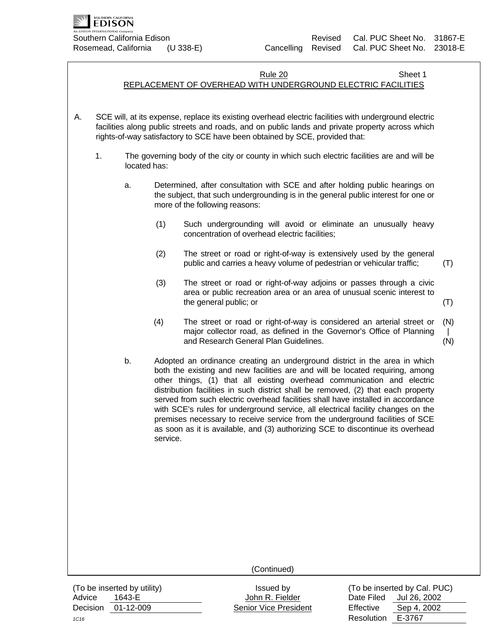

## **Rule 20 Sheet 1** Sheet 1

# REPLACEMENT OF OVERHEAD WITH UNDERGROUND ELECTRIC FACILITIES

- A. SCE will, at its expense, replace its existing overhead electric facilities with underground electric facilities along public streets and roads, and on public lands and private property across which rights-of-way satisfactory to SCE have been obtained by SCE, provided that:
	- 1. The governing body of the city or county in which such electric facilities are and will be located has:
		- a. Determined, after consultation with SCE and after holding public hearings on the subject, that such undergrounding is in the general public interest for one or more of the following reasons:
			- (1) Such undergrounding will avoid or eliminate an unusually heavy concentration of overhead electric facilities;
			- (2) The street or road or right-of-way is extensively used by the general public and carries a heavy volume of pedestrian or vehicular traffic; (T)
			- (3) The street or road or right-of-way adjoins or passes through a civic area or public recreation area or an area of unusual scenic interest to the general public; or
			- (4) The street or road or right-of-way is considered an arterial street or major collector road, as defined in the Governor's Office of Planning and Research General Plan Guidelines. (N)  $\perp$ (N)
		- b. Adopted an ordinance creating an underground district in the area in which both the existing and new facilities are and will be located requiring, among other things, (1) that all existing overhead communication and electric distribution facilities in such district shall be removed, (2) that each property served from such electric overhead facilities shall have installed in accordance with SCE's rules for underground service, all electrical facility changes on the premises necessary to receive service from the underground facilities of SCE as soon as it is available, and (3) authorizing SCE to discontinue its overhead service.

(Continued)

(To be inserted by utility) Issued by Issued by To be inserted by Cal. PUC) Advice 1643-E **John R. Fielder Date Filed Jul 26, 2002** Decision 01-12-009 Senior Vice President Effective Sep 4, 2002

*1C16* Resolution E-3767

(T)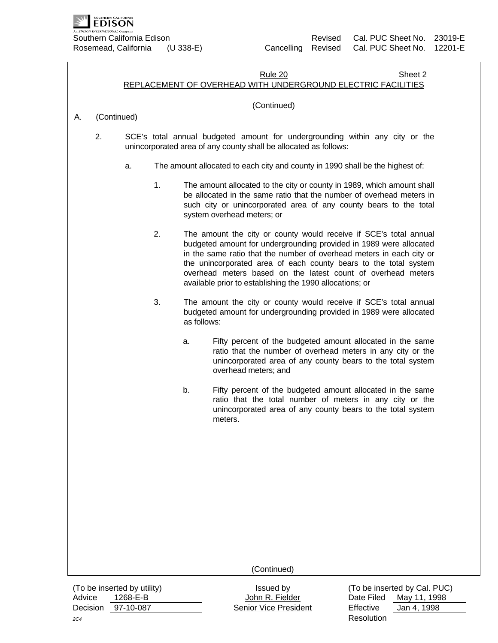

#### **Rule 20 Sheet 2** Sheet 2 REPLACEMENT OF OVERHEAD WITH UNDERGROUND ELECTRIC FACILITIES

## (Continued)

# A. (Continued)

- 2. SCE's total annual budgeted amount for undergrounding within any city or the unincorporated area of any county shall be allocated as follows:
	- a. The amount allocated to each city and county in 1990 shall be the highest of:
		- 1. The amount allocated to the city or county in 1989, which amount shall be allocated in the same ratio that the number of overhead meters in such city or unincorporated area of any county bears to the total system overhead meters; or
		- 2. The amount the city or county would receive if SCE's total annual budgeted amount for undergrounding provided in 1989 were allocated in the same ratio that the number of overhead meters in each city or the unincorporated area of each county bears to the total system overhead meters based on the latest count of overhead meters available prior to establishing the 1990 allocations; or
		- 3. The amount the city or county would receive if SCE's total annual budgeted amount for undergrounding provided in 1989 were allocated as follows:
			- a. Fifty percent of the budgeted amount allocated in the same ratio that the number of overhead meters in any city or the unincorporated area of any county bears to the total system overhead meters; and
			- b. Fifty percent of the budgeted amount allocated in the same ratio that the total number of meters in any city or the unincorporated area of any county bears to the total system meters.

(Continued)

(To be inserted by utility) Issued by Issued by To be inserted by Cal. PUC) Advice 1268-E-B **Marken Advice 1268-E-B** John R. Fielder **Date Filed May 11, 1998** Decision 97-10-087 Senior Vice President Effective Jan 4, 1998

*2C4* Resolution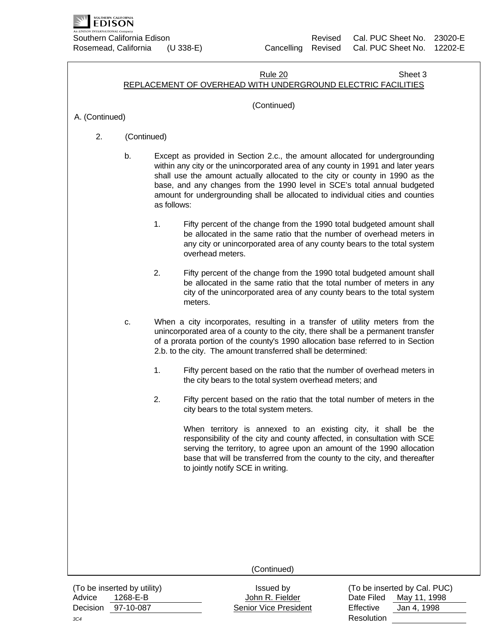

#### **Rule 20 Sheet 3** Sheet 3 REPLACEMENT OF OVERHEAD WITH UNDERGROUND ELECTRIC FACILITIES

## (Continued)

A. (Continued)

- 2. (Continued)
	- b. Except as provided in Section 2.c., the amount allocated for undergrounding within any city or the unincorporated area of any county in 1991 and later years shall use the amount actually allocated to the city or county in 1990 as the base, and any changes from the 1990 level in SCE's total annual budgeted amount for undergrounding shall be allocated to individual cities and counties as follows:
		- 1. Fifty percent of the change from the 1990 total budgeted amount shall be allocated in the same ratio that the number of overhead meters in any city or unincorporated area of any county bears to the total system overhead meters.
		- 2. Fifty percent of the change from the 1990 total budgeted amount shall be allocated in the same ratio that the total number of meters in any city of the unincorporated area of any county bears to the total system meters.
	- c. When a city incorporates, resulting in a transfer of utility meters from the unincorporated area of a county to the city, there shall be a permanent transfer of a prorata portion of the county's 1990 allocation base referred to in Section 2.b. to the city. The amount transferred shall be determined:
		- 1. Fifty percent based on the ratio that the number of overhead meters in the city bears to the total system overhead meters; and
		- 2. Fifty percent based on the ratio that the total number of meters in the city bears to the total system meters.

When territory is annexed to an existing city, it shall be the responsibility of the city and county affected, in consultation with SCE serving the territory, to agree upon an amount of the 1990 allocation base that will be transferred from the county to the city, and thereafter to jointly notify SCE in writing.

(Continued)

Advice 1268-E-B John R. Fielder Date Filed May 11, 1998 Decision 97-10-087 Senior Vice President Effective Jan 4, 1998

(To be inserted by utility) Issued by  $($ To be inserted by Cal. PUC) *3C4* Resolution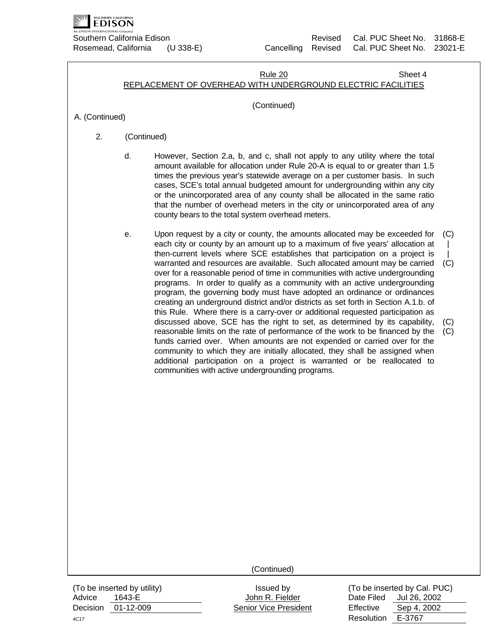

#### **Rule 20 Sheet 4** Sheet 4 REPLACEMENT OF OVERHEAD WITH UNDERGROUND ELECTRIC FACILITIES

## (Continued)

A. (Continued)

- 2. (Continued)
	- d. However, Section 2.a, b, and c, shall not apply to any utility where the total amount available for allocation under Rule 20-A is equal to or greater than 1.5 times the previous year's statewide average on a per customer basis. In such cases, SCE's total annual budgeted amount for undergrounding within any city or the unincorporated area of any county shall be allocated in the same ratio that the number of overhead meters in the city or unincorporated area of any county bears to the total system overhead meters.
	- e. Upon request by a city or county, the amounts allocated may be exceeded for (C) each city or county by an amount up to a maximum of five years' allocation at then-current levels where SCE establishes that participation on a project is warranted and resources are available. Such allocated amount may be carried over for a reasonable period of time in communities with active undergrounding programs. In order to qualify as a community with an active undergrounding program, the governing body must have adopted an ordinance or ordinances creating an underground district and/or districts as set forth in Section A.1.b. of this Rule. Where there is a carry-over or additional requested participation as discussed above, SCE has the right to set, as determined by its capability, reasonable limits on the rate of performance of the work to be financed by the funds carried over. When amounts are not expended or carried over for the community to which they are initially allocated, they shall be assigned when additional participation on a project is warranted or be reallocated to communities with active undergrounding programs.  $\blacksquare$  $\blacksquare$  $(C)$ (C)  $(C)$

(Continued)

Advice 1643-E **Matter State State Search Advice** Date Filed Jul 26, 2002 Decision 01-12-009 Senior Vice President Effective Sep 4, 2002

(To be inserted by utility) Issued by (To be inserted by Cal. PUC) *4C17* Resolution E-3767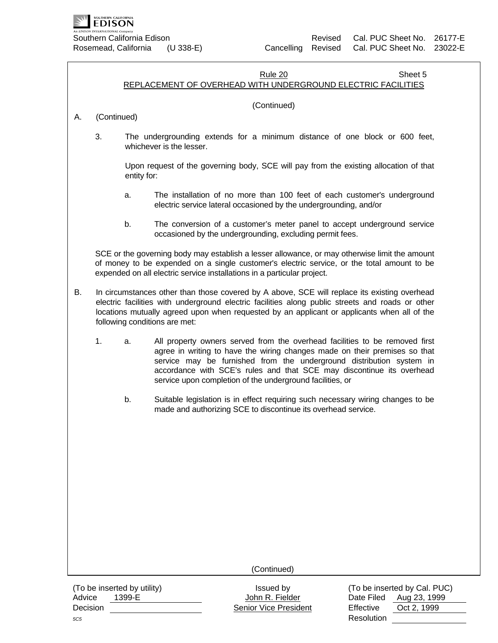

#### **Rule 20 Sheet 5** Sheet 5 REPLACEMENT OF OVERHEAD WITH UNDERGROUND ELECTRIC FACILITIES

## (Continued)

# A. (Continued)

3. The undergrounding extends for a minimum distance of one block or 600 feet, whichever is the lesser.

Upon request of the governing body, SCE will pay from the existing allocation of that entity for:

- a. The installation of no more than 100 feet of each customer's underground electric service lateral occasioned by the undergrounding, and/or
- b. The conversion of a customer's meter panel to accept underground service occasioned by the undergrounding, excluding permit fees.

SCE or the governing body may establish a lesser allowance, or may otherwise limit the amount of money to be expended on a single customer's electric service, or the total amount to be expended on all electric service installations in a particular project.

- B. In circumstances other than those covered by A above, SCE will replace its existing overhead electric facilities with underground electric facilities along public streets and roads or other locations mutually agreed upon when requested by an applicant or applicants when all of the following conditions are met:
	- 1. a. All property owners served from the overhead facilities to be removed first agree in writing to have the wiring changes made on their premises so that service may be furnished from the underground distribution system in accordance with SCE's rules and that SCE may discontinue its overhead service upon completion of the underground facilities, or
		- b. Suitable legislation is in effect requiring such necessary wiring changes to be made and authorizing SCE to discontinue its overhead service.

(Continued)

(To be inserted by utility) Issued by Issued by To be inserted by Cal. PUC) Advice 1399-E **Auge 1399-E** Advice 1399-E John R. Fielder **Date Filed Aug 23, 1999** Decision Senior Vice President Effective Oct 2, 1999

*5C5* Resolution